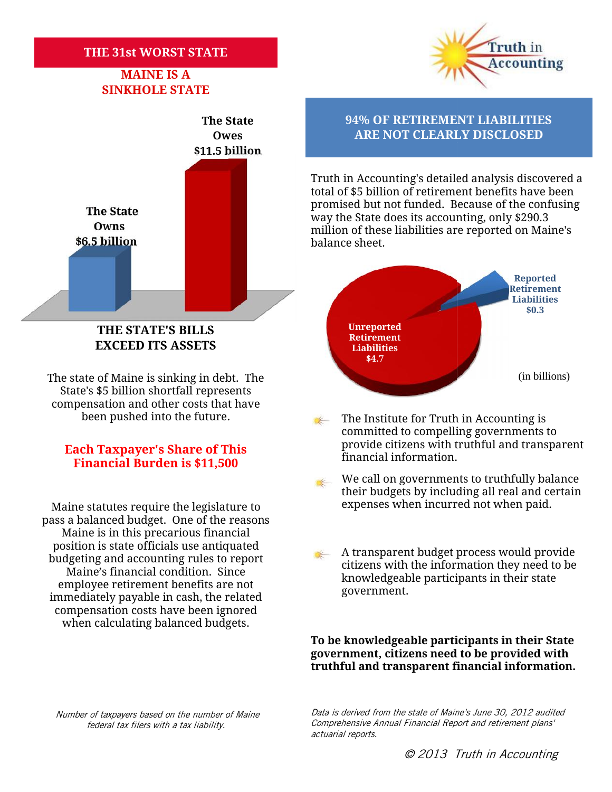### **THE 31st WORST STATE THE 31st**

# **MAINE IS A SINKHOLE STATE**



**EXCEED ITS ASSETS BILLSEXCEED** 

The state of Maine is sinking in debt. The State's \$5 billion shortfall represents The state of Maine is sinking in debt. The<br>State's \$5 billion shortfall represents<br>compensation and other costs that have been pushed into the future. ate of Maine is sinking in debt. The (in billions)<br>
e's \$5 billion shortfall represents<br>
ensation and other costs that have<br>
been pushed into the future. The Institute for Truth in Accounting is

## **Each Taxpayer's Share of This**<br>**Financial Burden is \$11,500** financial information. **Financial Burden is \$11,500**

pass a balanced budget. One of the reasons Maine is in this precarious financial position is state officials use antiquated budgeting and accounting rules to report Maine's financial condition. Since employee retirement benefits are not immediately payable in cash, the related compensation costs have been ignored when calculating balanced budgets. solution is state officials use antiquated<br>position is state officials use antiquated<br>udgeting and accounting rules to report<br>Maine's financial condition. Since<br>employee retirement benefits are not<br>mmediately payable in ca

Truth in **Accounting** 

**The State 94% OF RETIREMENT LIABILITIES Owes ARE NOT CLEARLY DISCLOSED** 

> Truth in Accounting's detailed analysis discovered a total of \$5 billion of retirement benefits have been promised but not funded. Because of the confusing way the State does its accounting, only \$290.3 million of these liabilities are reported on Maine's balance sheet. Truth in Accounting's detailed analysis t<br>total of \$5 billion of retirement benefits<br>promised but not funded. Because of th<br>way the State does its accounting, only \$<br>million of these liabilities are reported o<br>balance shee



- The Institute for Truth in Accounting is committed to compelling governments to provide citizens with truthful and transparent
- We call on governments to truthfully balance their budgets by including all real and certain Maine statutes require the legislature to expenses when incurred not when paid. We call on governments to truthfully balance<br>their budgets by including all real and certair<br>legislature to expenses when incurred not when paid.
	- A transparent budget process would provide citizens with the information they need to be knowledgeable participants in their state government.

**To be knowledgeable participants in their State** To be knowledgeable participants in their State<br>government, citizens need to be provided with **truthful and transparent financial information.**

*Number of taxpayers based on the number of Maine is Annual Number of tax federal tax filers with a tax liability.*

*Data is derived from the state of Maine's June 30, 2012 audited Comprehensive Annual Financial Report and retirement plans' actuarial reports.*